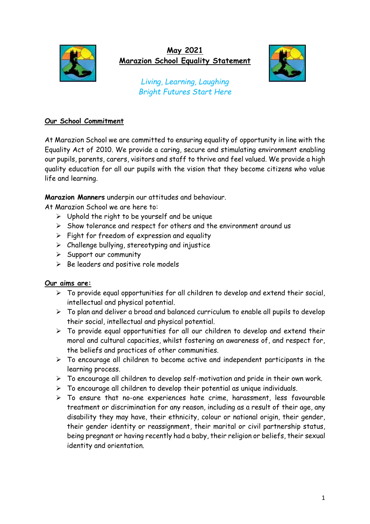

## **May 2021 Marazion School Equality Statement**



*Living, Learning, Laughing Bright Futures Start Here*

## **Our School Commitment**

At Marazion School we are committed to ensuring equality of opportunity in line with the Equality Act of 2010. We provide a caring, secure and stimulating environment enabling our pupils, parents, carers, visitors and staff to thrive and feel valued. We provide a high quality education for all our pupils with the vision that they become citizens who value life and learning.

**Marazion Manners** underpin our attitudes and behaviour.

At Marazion School we are here to:

- $\triangleright$  Uphold the right to be yourself and be unique
- ➢ Show tolerance and respect for others and the environment around us
- $\triangleright$  Fight for freedom of expression and equality
- $\triangleright$  Challenge bullying, stereotyping and injustice
- $\triangleright$  Support our community
- $\triangleright$  Be leaders and positive role models

## **Our aims are:**

- $\triangleright$  To provide equal opportunities for all children to develop and extend their social, intellectual and physical potential.
- ➢ To plan and deliver a broad and balanced curriculum to enable all pupils to develop their social, intellectual and physical potential.
- $\triangleright$  To provide equal opportunities for all our children to develop and extend their moral and cultural capacities, whilst fostering an awareness of, and respect for, the beliefs and practices of other communities.
- $\triangleright$  To encourage all children to become active and independent participants in the learning process.
- $\triangleright$  To encourage all children to develop self-motivation and pride in their own work.
- ➢ To encourage all children to develop their potential as unique individuals.
- ➢ To ensure that no-one experiences hate crime, harassment, less favourable treatment or discrimination for any reason, including as a result of their age, any disability they may have, their ethnicity, colour or national origin, their gender, their gender identity or reassignment, their marital or civil partnership status, being pregnant or having recently had a baby, their religion or beliefs, their sexual identity and orientation.